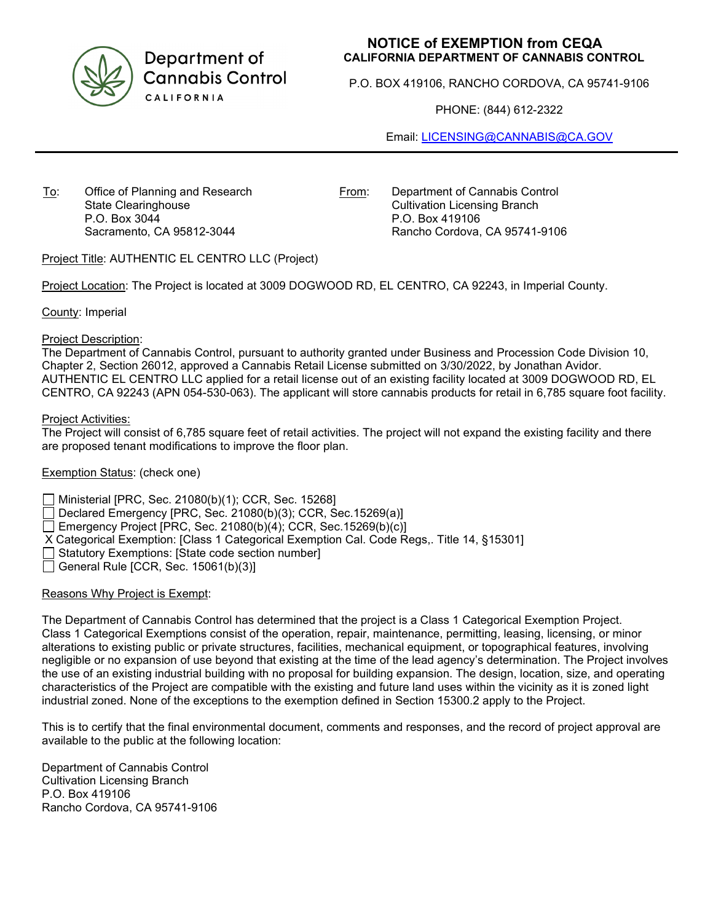

Department of **Cannabis Control** CALIFORNIA

# **NOTICE of EXEMPTION from CEQA CALIFORNIA DEPARTMENT OF CANNABIS CONTROL**

P.O. BOX 419106, RANCHO CORDOVA, CA 95741-9106

PHONE: (844) 612-2322

Email: [LICENSING@CANNABIS@CA.GOV](mailto:LICENSING@CANNABIS@CA.GOV)

To: Office of Planning and Research State Clearinghouse P.O. Box 3044 Sacramento, CA 95812-3044

From: Department of Cannabis Control Cultivation Licensing Branch P.O. Box 419106 Rancho Cordova, CA 95741-9106

Project Title: AUTHENTIC EL CENTRO LLC (Project)

Project Location: The Project is located at 3009 DOGWOOD RD, EL CENTRO, CA 92243, in Imperial County.

County: Imperial

#### Project Description:

The Department of Cannabis Control, pursuant to authority granted under Business and Procession Code Division 10, Chapter 2, Section 26012, approved a Cannabis Retail License submitted on 3/30/2022, by Jonathan Avidor. AUTHENTIC EL CENTRO LLC applied for a retail license out of an existing facility located at 3009 DOGWOOD RD, EL CENTRO, CA 92243 (APN 054-530-063). The applicant will store cannabis products for retail in 6,785 square foot facility.

#### Project Activities:

The Project will consist of 6,785 square feet of retail activities. The project will not expand the existing facility and there are proposed tenant modifications to improve the floor plan.

## Exemption Status: (check one)

Ministerial [PRC, Sec. 21080(b)(1); CCR, Sec. 15268]

Declared Emergency [PRC, Sec. 21080(b)(3); CCR, Sec.15269(a)]

Emergency Project [PRC, Sec. 21080(b)(4); CCR, Sec.15269(b)(c)]

X Categorical Exemption: [Class 1 Categorical Exemption Cal. Code Regs,. Title 14, §15301]

- $\Box$  Statutory Exemptions: [State code section number]
- General Rule [CCR, Sec.  $15061(b)(3)$ ]

## Reasons Why Project is Exempt:

The Department of Cannabis Control has determined that the project is a Class 1 Categorical Exemption Project. Class 1 Categorical Exemptions consist of the operation, repair, maintenance, permitting, leasing, licensing, or minor alterations to existing public or private structures, facilities, mechanical equipment, or topographical features, involving negligible or no expansion of use beyond that existing at the time of the lead agency's determination. The Project involves the use of an existing industrial building with no proposal for building expansion. The design, location, size, and operating characteristics of the Project are compatible with the existing and future land uses within the vicinity as it is zoned light industrial zoned. None of the exceptions to the exemption defined in Section 15300.2 apply to the Project.

This is to certify that the final environmental document, comments and responses, and the record of project approval are available to the public at the following location:

Department of Cannabis Control Cultivation Licensing Branch P.O. Box 419106 Rancho Cordova, CA 95741-9106